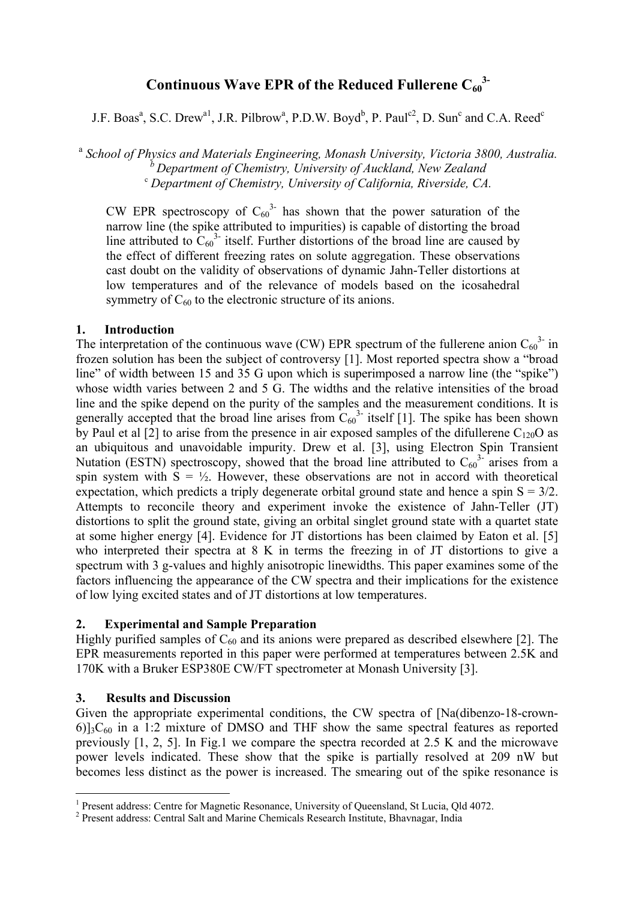# Continuous Wave EPR of the Reduced Fullerene  $C_{60}^3$

J.F. Boas<sup>a</sup>, S.C. Drew<sup>a1</sup>, J.R. Pilbrow<sup>a</sup>, P.D.W. Boyd<sup>b</sup>, P. Paul<sup>c2</sup>, D. Sun<sup>c</sup> and C.A. Reed<sup>c</sup>

<sup>a</sup> *School of Physics and Materials Engineering, Monash University, Victoria 3800, Australia. b Department of Chemistry, University of Auckland, New Zealand* <sup>c</sup> *Department of Chemistry, University of California, Riverside, CA.* 

CW EPR spectroscopy of  $C_{60}^{3}$  has shown that the power saturation of the narrow line (the spike attributed to impurities) is capable of distorting the broad line attributed to  $C_{60}^3$  itself. Further distortions of the broad line are caused by the effect of different freezing rates on solute aggregation. These observations cast doubt on the validity of observations of dynamic Jahn-Teller distortions at low temperatures and of the relevance of models based on the icosahedral symmetry of  $C_{60}$  to the electronic structure of its anions.

## **1. Introduction**

The interpretation of the continuous wave (CW) EPR spectrum of the fullerene anion  $C_{60}^{3}$  in frozen solution has been the subject of controversy [1]. Most reported spectra show a "broad line" of width between 15 and 35 G upon which is superimposed a narrow line (the "spike") whose width varies between 2 and 5 G. The widths and the relative intensities of the broad line and the spike depend on the purity of the samples and the measurement conditions. It is generally accepted that the broad line arises from  $C_{60}^{3}$  itself [1]. The spike has been shown by Paul et al  $[2]$  to arise from the presence in air exposed samples of the difullerene C<sub>120</sub>O as an ubiquitous and unavoidable impurity. Drew et al. [3], using Electron Spin Transient Nutation (ESTN) spectroscopy, showed that the broad line attributed to  $C_{60}^{3}$  arises from a spin system with  $S = \frac{1}{2}$ . However, these observations are not in accord with theoretical expectation, which predicts a triply degenerate orbital ground state and hence a spin  $S = 3/2$ . Attempts to reconcile theory and experiment invoke the existence of Jahn-Teller (JT) distortions to split the ground state, giving an orbital singlet ground state with a quartet state at some higher energy [4]. Evidence for JT distortions has been claimed by Eaton et al. [5] who interpreted their spectra at 8 K in terms the freezing in of JT distortions to give a spectrum with 3 g-values and highly anisotropic linewidths. This paper examines some of the factors influencing the appearance of the CW spectra and their implications for the existence of low lying excited states and of JT distortions at low temperatures.

# **2. Experimental and Sample Preparation**

Highly purified samples of  $C_{60}$  and its anions were prepared as described elsewhere [2]. The EPR measurements reported in this paper were performed at temperatures between 2.5K and 170K with a Bruker ESP380E CW/FT spectrometer at Monash University [3].

# **3. Results and Discussion**

 $\overline{a}$ 

Given the appropriate experimental conditions, the CW spectra of [Na(dibenzo-18-crown- $6$ )]<sub>3</sub>C<sub>60</sub> in a 1:2 mixture of DMSO and THF show the same spectral features as reported previously [1, 2, 5]. In Fig.1 we compare the spectra recorded at 2.5 K and the microwave power levels indicated. These show that the spike is partially resolved at 209 nW but becomes less distinct as the power is increased. The smearing out of the spike resonance is

<span id="page-0-0"></span><sup>&</sup>lt;sup>1</sup> Present address: Centre for Magnetic Resonance, University of Queensland, St Lucia, Qld 4072.

<span id="page-0-1"></span><sup>&</sup>lt;sup>2</sup> Present address: Central Salt and Marine Chemicals Research Institute, Bhavnagar, India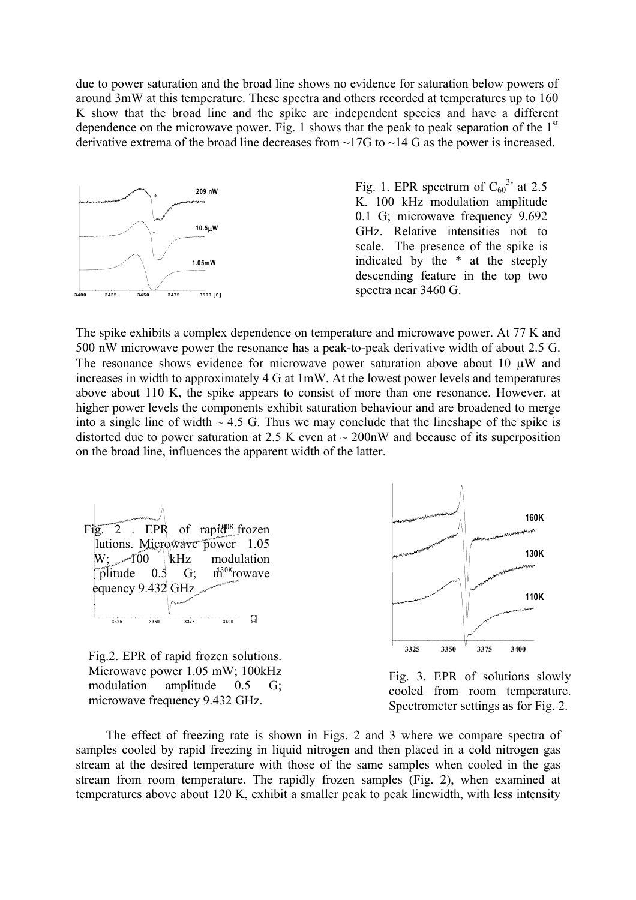due to power saturation and the broad line shows no evidence for saturation below powers of around 3mW at this temperature. These spectra and others recorded at temperatures up to 160 K show that the broad line and the spike are independent species and have a different dependence on the microwave power. Fig. 1 shows that the peak to peak separation of the  $1<sup>st</sup>$ derivative extrema of the broad line decreases from ~17G to ~14 G as the power is increased.



Fig. 1. EPR spectrum of  $C_{60}^{3}$  at 2.5 K. 100 kHz modulation amplitude 0.1 G; microwave frequency 9.692 GHz. Relative intensities not to scale. The presence of the spike is indicated by the \* at the steeply descending feature in the top two spectra near 3460 G.

The spike exhibits a complex dependence on temperature and microwave power. At 77 K and 500 nW microwave power the resonance has a peak-to-peak derivative width of about 2.5 G. The resonance shows evidence for microwave power saturation above about 10  $\mu$ W and increases in width to approximately 4 G at 1mW. At the lowest power levels and temperatures above about 110 K, the spike appears to consist of more than one resonance. However, at higher power levels the components exhibit saturation behaviour and are broadened to merge into a single line of width  $\sim$  4.5 G. Thus we may conclude that the lineshape of the spike is distorted due to power saturation at 2.5 K even at  $\sim$  200nW and because of its superposition on the broad line, influences the apparent width of the latter.



Fig.2. EPR of rapid frozen solutions. Microwave power 1.05 mW; 100kHz modulation amplitude 0.5 G; microwave frequency 9.432 GHz.



Fig. 3. EPR of solutions slowly cooled from room temperature. Spectrometer settings as for Fig. 2.

The effect of freezing rate is shown in Figs. 2 and 3 where we compare spectra of samples cooled by rapid freezing in liquid nitrogen and then placed in a cold nitrogen gas stream at the desired temperature with those of the same samples when cooled in the gas stream from room temperature. The rapidly frozen samples (Fig. 2), when examined at temperatures above about 120 K, exhibit a smaller peak to peak linewidth, with less intensity